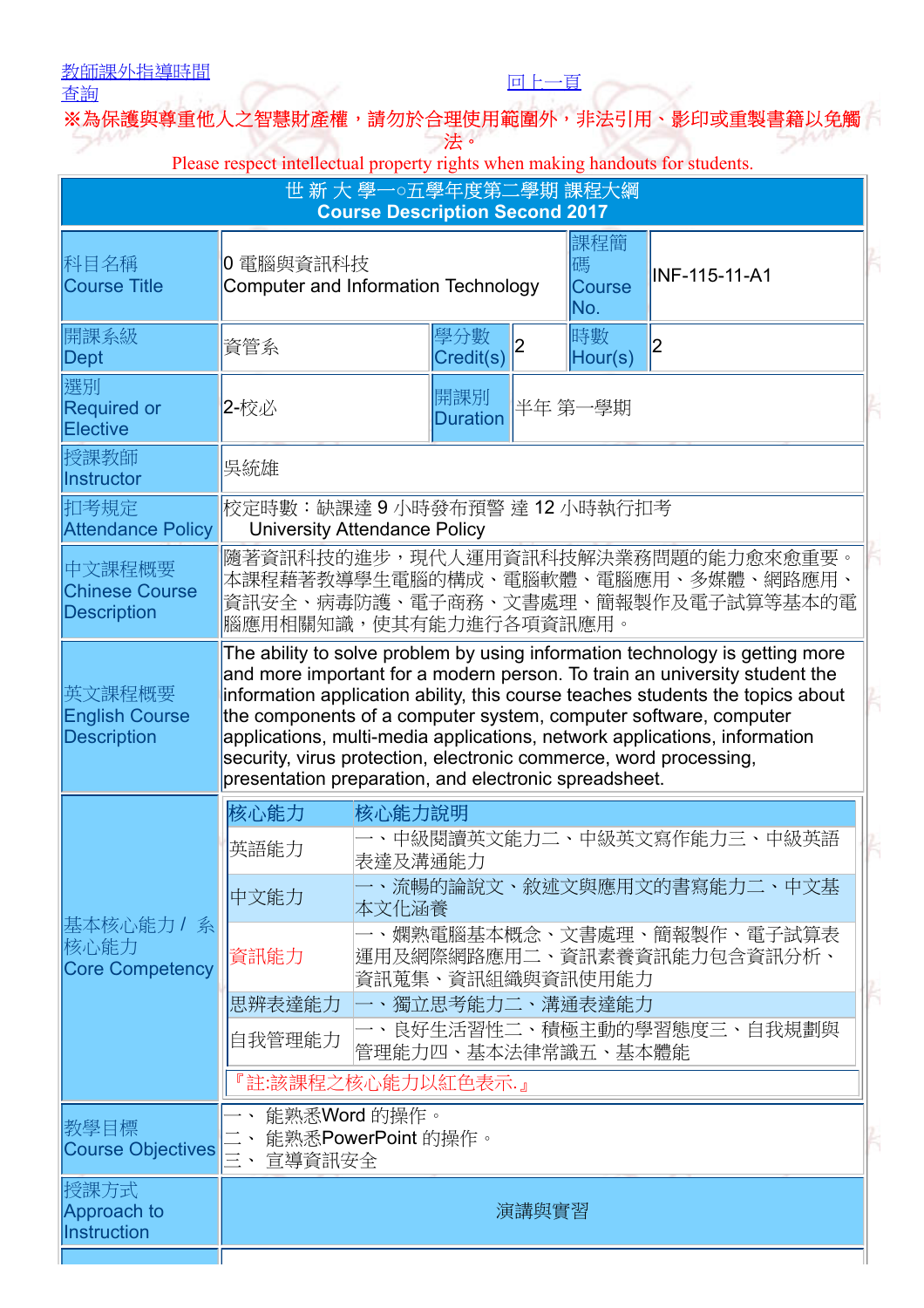## [教師課外指導時間](javascript:__doPostBack()

查詢

※為保護與尊重他人之智慧財產權,請勿於合理使用範圍外,非法引用、影印或重製書籍以免 法。

[回上一頁](javascript:history.back())

Please respect intellectual property rights when making handouts for students.

|                                                                                                                                                                                                                                                                                                                                                                                                                                                                                                                             |                            |                                                                | 課程簡<br>碼<br><b>Course</b><br>No.                                       | <b>INF-115-11-A1</b>                                                                                                                                                                                                                                       |  |
|-----------------------------------------------------------------------------------------------------------------------------------------------------------------------------------------------------------------------------------------------------------------------------------------------------------------------------------------------------------------------------------------------------------------------------------------------------------------------------------------------------------------------------|----------------------------|----------------------------------------------------------------|------------------------------------------------------------------------|------------------------------------------------------------------------------------------------------------------------------------------------------------------------------------------------------------------------------------------------------------|--|
| 資管系                                                                                                                                                                                                                                                                                                                                                                                                                                                                                                                         |                            | $\overline{2}$                                                 | 時數<br>Hour(s)                                                          | 2                                                                                                                                                                                                                                                          |  |
| 2-校必                                                                                                                                                                                                                                                                                                                                                                                                                                                                                                                        | 開課別<br>半年 第一學期<br>Duration |                                                                |                                                                        |                                                                                                                                                                                                                                                            |  |
| 吳統雄                                                                                                                                                                                                                                                                                                                                                                                                                                                                                                                         |                            |                                                                |                                                                        |                                                                                                                                                                                                                                                            |  |
| 校定時數:缺課達 9 小時發布預警 達 12 小時執行扣考<br><b>Attendance Policy</b><br><b>University Attendance Policy</b>                                                                                                                                                                                                                                                                                                                                                                                                                            |                            |                                                                |                                                                        |                                                                                                                                                                                                                                                            |  |
| 隨著資訊科技的進步,現代人運用資訊科技解決業務問題的能力愈來愈重要。<br>本課程藉著教導學生電腦的構成、電腦軟體、電腦應用、多媒體、網路應用、<br>資訊安全、病毒防護、電子商務、文書處理、簡報製作及電子試算等基本的電<br>腦應用相關知識,使其有能力進行各項資訊應用。                                                                                                                                                                                                                                                                                                                                                                                    |                            |                                                                |                                                                        |                                                                                                                                                                                                                                                            |  |
| The ability to solve problem by using information technology is getting more<br>and more important for a modern person. To train an university student the<br>information application ability, this course teaches students the topics about<br>the components of a computer system, computer software, computer<br>applications, multi-media applications, network applications, information<br>security, virus protection, electronic commerce, word processing,<br>presentation preparation, and electronic spreadsheet. |                            |                                                                |                                                                        |                                                                                                                                                                                                                                                            |  |
| 核心能力                                                                                                                                                                                                                                                                                                                                                                                                                                                                                                                        |                            |                                                                |                                                                        |                                                                                                                                                                                                                                                            |  |
| 英語能力                                                                                                                                                                                                                                                                                                                                                                                                                                                                                                                        |                            |                                                                |                                                                        |                                                                                                                                                                                                                                                            |  |
| 中文能力                                                                                                                                                                                                                                                                                                                                                                                                                                                                                                                        |                            |                                                                |                                                                        |                                                                                                                                                                                                                                                            |  |
| 資訊能力                                                                                                                                                                                                                                                                                                                                                                                                                                                                                                                        |                            |                                                                |                                                                        |                                                                                                                                                                                                                                                            |  |
|                                                                                                                                                                                                                                                                                                                                                                                                                                                                                                                             |                            |                                                                |                                                                        |                                                                                                                                                                                                                                                            |  |
| 自我管理能力<br>管理能力四、基本法律常識五、基本體能                                                                                                                                                                                                                                                                                                                                                                                                                                                                                                |                            |                                                                |                                                                        |                                                                                                                                                                                                                                                            |  |
|                                                                                                                                                                                                                                                                                                                                                                                                                                                                                                                             |                            |                                                                |                                                                        |                                                                                                                                                                                                                                                            |  |
| 能熟悉PowerPoint 的操作。<br>$\equiv$ .<br>宣導資訊安全                                                                                                                                                                                                                                                                                                                                                                                                                                                                                  |                            |                                                                |                                                                        |                                                                                                                                                                                                                                                            |  |
| 演講與實習                                                                                                                                                                                                                                                                                                                                                                                                                                                                                                                       |                            |                                                                |                                                                        |                                                                                                                                                                                                                                                            |  |
|                                                                                                                                                                                                                                                                                                                                                                                                                                                                                                                             | 思辨表達能力                     | 0 電腦與資訊科技<br>學分數<br>核心能力說明<br>表達及溝通能力<br>本文化涵養<br>能熟悉Word 的操作。 | Computer and Information Technology<br>Credit(s)<br>『註:該課程之核心能力以紅色表示.』 | 世 新 大 學一○五學年度第二學期 課程大綱<br><b>Course Description Second 2017</b><br>、中級閱讀英文能力二、中級英文寫作能力三、中級英語<br>一、流暢的論說文、敘述文與應用文的書寫能力二、中文基<br>一、嫻熟電腦基本概念、文書處理、簡報製作、電子試算表<br>運用及網際網路應用二、資訊素養資訊能力包含資訊分析、<br>資訊蒐集、資訊組織與資訊使用能力<br>一、獨立思考能力二、溝通表達能力<br>良好生活習性二、積極主動的學習態度三、自我規劃與 |  |